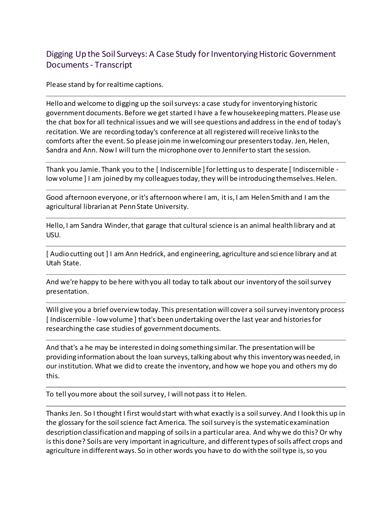## Digging Up the Soil Surveys: A Case Study for Inventorying Historic Government Documents- Transcript

Please stand by for realtime captions.

Hello and welcome to digging up the soil surveys: a case study for inventorying historic government documents. Before we get started I have a few housekeeping matters. Please use the chat box for all technical issues and we will see questions and address in the end of today's recitation. We are recording today's conference at all registered will receive links to the comforts after the event. So please join me in welcoming our presenters today. Jen, Helen, Sandra and Ann. Now I will turn the microphone over to Jennifer to start the session.

Thank you Jamie. Thank you to the [ Indiscernible ] for letting us to desperate [ Indiscernible low volume ] I am joined by my colleagues today, they will be introducing themselves. Helen.

Good afternoon everyone, or it's afternoon where I am, it is, I am Helen Smith and I am the agricultural librarian at Penn State University.

Hello, I am Sandra Winder, that garage that cultural science is an animal health library and at USU.

[ Audio cutting out ] I am Ann Hedrick, and engineering, agriculture and science library and at Utah State.

And we're happy to be here with you all today to talk about our inventory of the soil survey presentation.

Will give you a brief overview today. This presentation will cover a soil survey inventory process [ Indiscernible - low volume ] that's been undertaking over the last year and histories for researching the case studies of government documents.

And that's a he may be interested in doing something similar. The presentation will be providing information about the loan surveys, talking about why this inventory was needed, in our institution. What we did to create the inventory, and how we hope you and others my do this.

To tell you more about the soil survey, I will not pass it to Helen.

Thanks Jen. So I thought I first would start with what exactly is a soil survey. And I look this up in the glossary for the soil science fact America. The soil survey is the systematic examination description classification and mapping of soils in a particular area. And why we do this? Or why is this done? Soils are very important in agriculture, and different types of soils affect crops and agriculture in different ways. So in other words you have to do with the soil type is, so you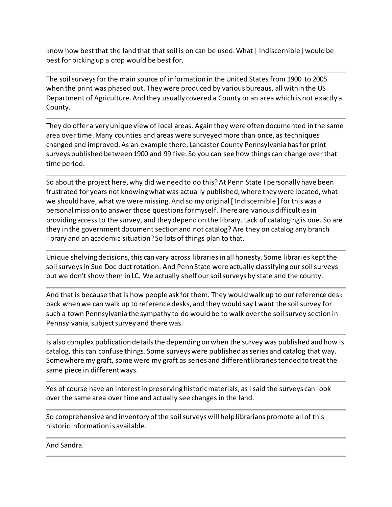know how best that the land that that soil is on can be used. What [ Indiscernible ] would be best for picking up a crop would be best for.

The soil surveys for the main source of information in the United States from 1900 to 2005 when the print was phased out. They were produced by various bureaus, all within the US Department of Agriculture. And they usually covered a County or an area which is not exactly a County.

They do offer a very unique view of local areas. Again they were often documented in the same area over time. Many counties and areas were surveyed more than once, as techniques changed and improved. As an example there, Lancaster County Pennsylvania has for print surveys published between 1900 and 99 five. So you can see how things can change over that time period.

So about the project here, why did we need to do this? At Penn State I personally have been frustrated for years not knowing what was actually published, where they were located, what we should have, what we were missing. And so my original [ Indiscernible ] for this was a personal mission to answer those questions for myself. There are various difficulties in providing access to the survey, and they depend on the library. Lack of cataloging is one. So are they in the government document section and not catalog? Are they on catalog any branch library and an academic situation? So lots of things plan to that.

Unique shelving decisions, this can vary across libraries in all honesty. Some librari es kept the soil surveys in Sue Doc duct rotation. And Penn State were actually classifying our soil surveys but we don't show them in LC. We actually shelf our soil surveys by state and the county.

And that is because that is how people ask for them. They would walk up to our reference desk back when we can walk up to reference desks, and they would say I want the soil survey for such a town Pennsylvania the sympathy to do would be to walk over the soil survey section in Pennsylvania, subject survey and there was.

Is also complex publication details the depending on when the survey was published and how is catalog, this can confuse things. Some surveys were published as series and catalog that way. Somewhere my graft, some were my graft as series and different libraries tended to treat the same piece in different ways.

Yes of course have an interest in preserving historic materials, as I said the surveys can look over the same area over time and actually see changes in the land.

So comprehensive and inventory of the soil surveys will help librarians promote all of this historic information is available.

And Sandra.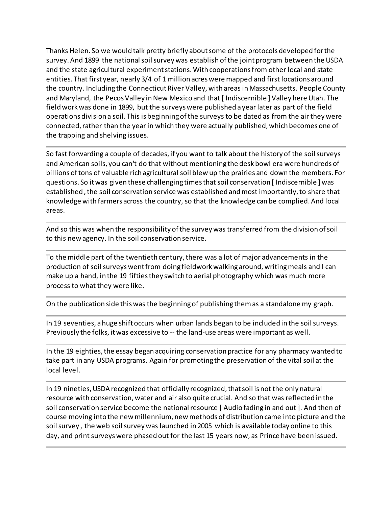Thanks Helen. So we would talk pretty briefly about some of the protocols developed for the survey. And 1899 the national soil survey was establish of the joint program between the USDA and the state agricultural experiment stations. With cooperations from other local and state entities. That first year, nearly 3/4 of 1 million acres were mapped and first locations around the country. Including the Connecticut River Valley, with areas in Massachusetts. People County and Maryland, the Pecos Valley in New Mexico and that [Indiscernible] Valley here Utah. The field work was done in 1899, but the surveys were published a year later as part of the field operations division a soil. This is beginning of the surveys to be dated as from the air they were connected, rather than the year in which they were actually published, which becomes one of the trapping and shelving issues.

So fast forwarding a couple of decades, if you want to talk about the history of the soil surveys and American soils, you can't do that without mentioning the desk bowl era were hundreds of billions of tons of valuable rich agricultural soil blew up the prairies and down the members. For questions. So it was given these challenging times that soil conservation [ Indiscernible ] was established , the soil conservation service was established and most importantly, to share that knowledge with farmers across the country, so that the knowledge can be complied. And local areas.

And so this was when the responsibility of the survey was transferred from the division of soil to this new agency. In the soil conservation service.

To the middle part of the twentieth century, there was a lot of major advancements in the production of soil surveys went from doing fieldwork walking around, writing meals and I can make up a hand, in the 19 fifties they switch to aerial photography which was much more process to what they were like.

On the publication side this was the beginning of publishing them as a standalone my graph.

In 19 seventies, a huge shift occurs when urban lands began to be included in the soil surveys. Previously the folks, it was excessive to -- the land-use areas were important as well.

In the 19 eighties, the essay began acquiring conservation practice for any pharmacy wanted to take part in any USDA programs. Again for promoting the preservation of the vital soil at the local level.

In 19 nineties, USDA recognized that officially recognized, that soil is not the only natural resource with conservation, water and air also quite crucial. And so that was reflected in the soil conservation service become the national resource [ Audio fading in and out ]. And then of course moving into the new millennium, new methods of distribution came into picture and the soil survey , the web soil survey was launched in 2005 which is available today online to this day, and print surveys were phased out for the last 15 years now, as Prince have been issued.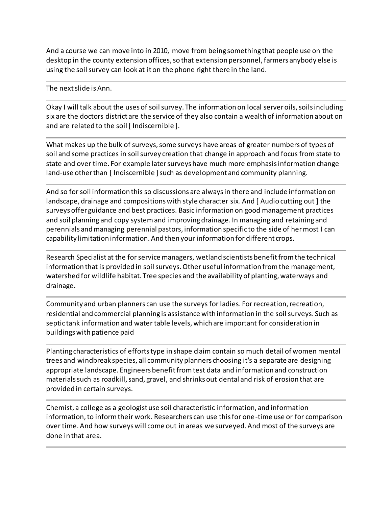And a course we can move into in 2010, move from being something that people use on the desktop in the county extension offices, so that extension personnel, farmers anybody else is using the soil survey can look at it on the phone right there in the land.

The next slide is Ann.

Okay I will talk about the uses of soil survey. The information on local server oils, soils including six are the doctors district are the service of they also contain a wealth of information about on and are related to the soil [ Indiscernible ].

What makes up the bulk of surveys, some surveys have areas of greater numbers of types of soil and some practices in soil survey creation that change in approach and focus from state to state and over time. For example later surveys have much more emphasis information change land-use other than [ Indiscernible ] such as development and community planning.

And so for soil information this so discussions are always in there and include information on landscape, drainage and compositions with style character six. And [ Audio cutting out ] the surveys offer guidance and best practices. Basic information on good management practices and soil planning and copy system and improving drainage. In managing and retaining and perennials and managing perennial pastors, information specific to the side of her most I can capability limitation information. And then your information for different crops.

Research Specialist at the for service managers, wetland scientists benefit from the technical information that is provided in soil surveys. Other useful information from the management, watershed for wildlife habitat. Tree species and the availability of planting, waterways and drainage.

Community and urban planners can use the surveys for ladies. For recreation, recreation, residential and commercial planning is assistance with information in the soil surveys. Such as septic tank information and water table levels, which are important for consideration in buildings with patience paid

Planting characteristics of efforts type in shape claim contain so much detail of women mental trees and windbreak species, all community planners choosing it's a separate are designing appropriate landscape. Engineers benefit from test data and information and construction materials such as roadkill, sand, gravel, and shrinks out dental and risk of erosion that are provided in certain surveys.

Chemist, a college as a geologist use soil characteristic information, and information information, to inform their work. Researchers can use this for one-time use or for comparison over time. And how surveys will come out in areas we surveyed. And most of the surveys are done in that area.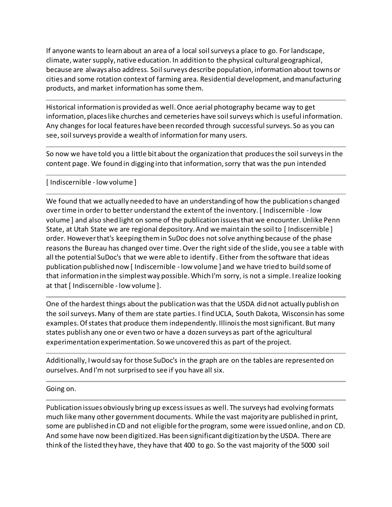If anyone wants to learn about an area of a local soil surveys a place to go. For landscape, climate, water supply, native education. In addition to the physical cultural geographical, because are always also address. Soil surveys describe population, information about towns or cities and some rotation context of farming area. Residential development, and manufacturing products, and market information has some them.

Historical information is provided as well. Once aerial photography became way to get information, places like churches and cemeteries have soil surveys which is useful information. Any changes for local features have been recorded through successful surveys. So as you can see, soil surveys provide a wealth of information for many users.

So now we have told you a little bit about the organization that produces the soil surveys in the content page. We found in digging into that information, sorry that was the pun intended

## [ Indiscernible - low volume ]

We found that we actually needed to have an understanding of how the publications changed over time in order to better understand the extent of the inventory. [ Indiscernible - low volume ] and also shed light on some of the publication issues that we encounter. Unlike Penn State, at Utah State we are regional depository. And we maintain the soil to [Indiscernible] order. However that's keeping them in SuDoc does not solve anything because of the phase reasons the Bureau has changed over time. Over the right side of the slide, you see a table with all the potential SuDoc's that we were able to identify . Either from the software that ideas publication published now [ Indiscernible - low volume ] and we have tried to build some of that information in the simplest way possible. Which I'm sorry, is not a simple. I realize looking at that [ Indiscernible - low volume ].

One of the hardest things about the publication was that the USDA did not actually publish on the soil surveys. Many of them are state parties. I find UCLA, South Dakota, Wisconsin has some examples. Of states that produce them independently. Illinois the most significant. But many states publish any one or even two or have a dozen surveys as part of the agricultural experimentation experimentation. So we uncovered this as part of the project.

Additionally, I would say for those SuDoc's in the graph are on the tables are represented on ourselves. And I'm not surprised to see if you have all six.

Going on.

Publication issues obviously bring up excess issues as well. The surveys had evolving formats much like many other government documents. While the vast majority are published in print, some are published in CD and not eligible for the program, some were issued online, and on CD. And some have now been digitized. Has been significant digitization by the USDA. There are think of the listed they have, they have that 400 to go. So the vast majority of the 5000 soil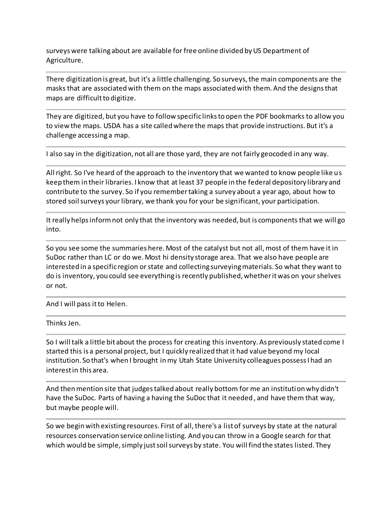surveys were talking about are available for free online divided by US Department of Agriculture.

There digitization is great, but it's a little challenging. So surveys, the main components are the masks that are associated with them on the maps associated with them. And the designs that maps are difficult to digitize.

They are digitized, but you have to follow specific links to open the PDF bookmarks to allow you to view the maps. USDA has a site called where the maps that provide instructions. But it's a challenge accessing a map.

I also say in the digitization, not all are those yard, they are not fairly geocoded in any way.

All right. So I've heard of the approach to the inventory that we wanted to know people like us keep them in their libraries. I know that at least 37 people in the federal depository library and contribute to the survey. So if you remember taking a survey about a year ago, about how to stored soil surveys your library, we thank you for your be significant, your participation.

It really helps inform not only that the inventory was needed, but is components that we will go into.

So you see some the summaries here. Most of the catalyst but not all, most of them have it in SuDoc rather than LC or do we. Most hi density storage area. That we also have people are interested in a specific region or state and collecting surveying materials. So what they want to do is inventory, you could see everything is recently published, whether it was on your shelves or not.

And I will pass it to Helen.

Thinks Jen.

So I will talk a little bit about the process for creating this inventory. As previously stated come I started this is a personal project, but I quickly realized that it had value beyond my local institution. So that's when I brought in my Utah State University colleagues possess I had an interest in this area.

And then mention site that judges talked about really bottom for me an institution why didn't have the SuDoc. Parts of having a having the SuDoc that it needed , and have them that way, but maybe people will.

So we begin with existing resources. First of all, there's a list of surveys by state at the natural resources conservation service online listing. And you can throw in a Google search for that which would be simple, simply just soil surveys by state. You will find the states listed. They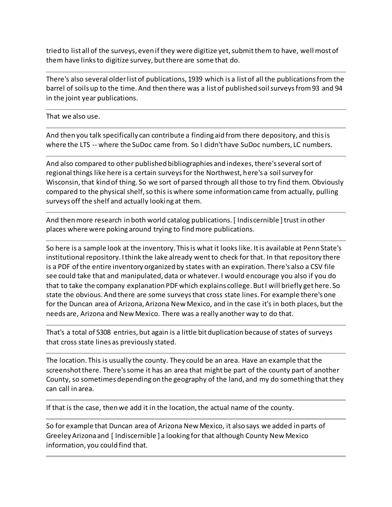tried to list all of the surveys, even if they were digitize yet, submit them to have, well most of them have links to digitize survey, but there are some that do.

There's also several older list of publications, 1939 which is a list of all the publications from the barrel of soils up to the time. And then there was a list of published soil surveys from 93 and 94 in the joint year publications.

That we also use.

And then you talk specifically can contribute a finding aid from there depository, and this is where the LTS -- where the SuDoc came from. So I didn't have SuDoc numbers, LC numbers.

And also compared to other published bibliographies and indexes, there's several sort of regional things like here is a certain surveys for the Northwest, here's a soil survey for Wisconsin, that kind of thing. So we sort of parsed through all those to try find them. Obviously compared to the physical shelf, so this is where some information came from actually, pulling surveys off the shelf and actually looking at them.

And then more research in both world catalog publications. [ Indiscernible ] trust in other places where were poking around trying to find more publications.

So here is a sample look at the inventory. This is what it looks like. It is available at Penn State's institutional repository. I think the lake already went to check for that. In that repository there is a PDF of the entire inventory organized by states with an expiration. There's also a CSV file see could take that and manipulated, data or whatever. I would encourage you also if you do that to take the company explanation PDF which explains college. But I will briefly get here. So state the obvious. And there are some surveys that cross state lines. For example there's one for the Duncan area of Arizona, Arizona New Mexico, and in the case it's in both places, but the needs are, Arizona and New Mexico. There was a really another way to do that.

That's a total of 5308 entries, but again is a little bit duplication because of states of surveys that cross state lines as previously stated.

The location. This is usually the county. They could be an area. Have an example that the screenshot there. There's some it has an area that might be part of the county part of another County, so sometimes depending on the geography of the land, and my do something that they can call in area.

If that is the case, then we add it in the location, the actual name of the county.

So for example that Duncan area of Arizona New Mexico, it also says we added in parts of Greeley Arizona and [ Indiscernible ] a looking for that although County New Mexico information, you could find that.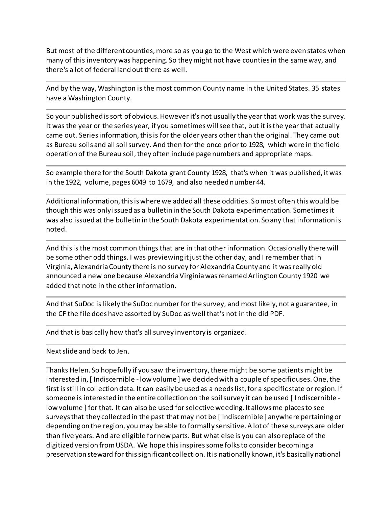But most of the different counties, more so as you go to the West which were even states when many of this inventory was happening. So they might not have counties in the same way, and there's a lot of federal land out there as well.

And by the way, Washington is the most common County name in the United States. 35 states have a Washington County.

So your published is sort of obvious. However it's not usually the year that work was the survey. It was the year or the series year, if you sometimes will see that, but it is the year that actually came out. Series information, this is for the older years other than the original. They came out as Bureau soils and all soil survey. And then for the once prior to 1928, which were in the field operation of the Bureau soil, they often include page numbers and appropriate maps.

So example there for the South Dakota grant County 1928, that's when it was published, it was in the 1922, volume, pages 6049 to 1679, and also needed number 44.

Additional information, this is where we added all these oddities. So most often this would be though this was only issued as a bulletin in the South Dakota experimentation. Sometimes it was also issued at the bulletin in the South Dakota experimentation. So any that information is noted.

And this is the most common things that are in that other information. Occasionally there will be some other odd things. I was previewing it just the other day, and I remember that in Virginia, Alexandria County there is no survey for Alexandria County and it was really old announced a new one because Alexandria Virginia was renamed Arlington County 1920 we added that note in the other information.

And that SuDoc is likely the SuDoc number for the survey, and most likely, not a guarantee, in the CF the file does have assorted by SuDoc as well that's not in the did PDF.

And that is basically how that's all survey inventory is organized.

Next slide and back to Jen.

Thanks Helen. So hopefully if you saw the inventory, there might be some patients might be interested in, [ Indiscernible - low volume ] we decided with a couple of specific uses. One, the first is still in collection data. It can easily be used as a needs list, for a specific state or region. If someone is interested in the entire collection on the soil survey it can be used [ Indiscernible low volume ] for that. It can also be used for selective weeding. It allows me places to see surveys that they collected in the past that may not be [ Indiscernible ] anywhere pertaining or depending on the region, you may be able to formally sensitive. A lot of these surveys are older than five years. And are eligible for new parts. But what else is you can also replace of the digitized version from USDA. We hope this inspires some folks to consider becoming a preservation steward for this significant collection. It is nationally known, it's basically national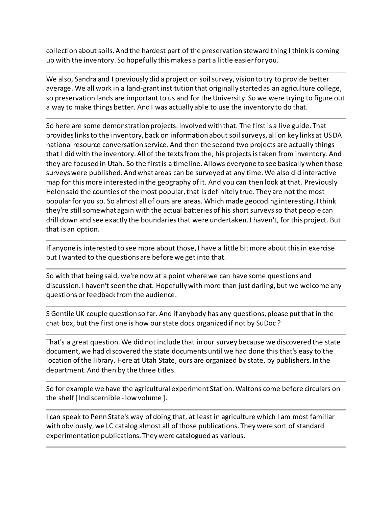collection about soils. And the hardest part of the preservation steward thing I think is coming up with the inventory. So hopefully this makes a part a little easier for you.

We also, Sandra and I previously did a project on soil survey, vision to try to provide better average. We all work in a land-grant institution that originally started as an agriculture college, so preservation lands are important to us and for the University. So we were trying to figure out a way to make things better. And I was actually able to use the inventory to do that.

So here are some demonstration projects. Involved with that. The first is a live guide. That provides links to the inventory, back on information about soil surveys, all on key links at USDA national resource conversation service. And then the second two projects are actually things that I did with the inventory. All of the texts from the, his projects is taken from inventory. And they are focused in Utah. So the first is a timeline. Allows everyone to see basically when those surveys were published. And what areas can be surveyed at any time. We also did interactive map for this more interested in the geography of it. And you can then look at that. Previously Helen said the counties of the most popular, that is definitely true. They are not the most popular for you so. So almost all of ours are areas. Which made geocoding interesting. I think they're still somewhat again with the actual batteries of his short surveys so that people can drill down and see exactly the boundaries that were undertaken. I haven't, for this project. But that is an option.

If anyone is interested to see more about those, I have a little bit more about this in exercise but I wanted to the questions are before we get into that.

So with that being said, we're now at a point where we can have some questions and discussion. I haven't seen the chat. Hopefully with more than just darling, but we welcome any questions or feedback from the audience.

S Gentile UK couple question so far. And if anybody has any questions, please put that in the chat box, but the first one is how our state docs organized if not by SuDoc ?

That's a great question. We did not include that in our survey because we discovered the state document, we had discovered the state documents until we had done this that's easy to the location of the library. Here at Utah State, ours are organized by state, by publishers. In the department. And then by the three titles.

So for example we have the agricultural experiment Station. Waltons come before circulars on the shelf [ Indiscernible - low volume ].

I can speak to Penn State's way of doing that, at least in agriculture which I am most familiar with obviously, we LC catalog almost all of those publications. They were sort of standard experimentation publications. They were catalogued as various.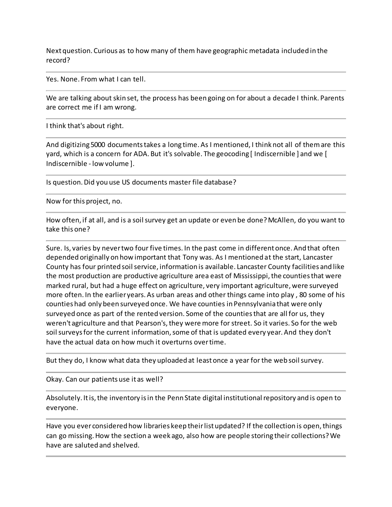Next question. Curious as to how many of them have geographic metadata included in the record?

Yes. None. From what I can tell.

We are talking about skin set, the process has been going on for about a decade I think. Parents are correct me if I am wrong.

I think that's about right.

And digitizing 5000 documents takes a long time. As I mentioned, I think not all of them are this yard, which is a concern for ADA. But it's solvable. The geocoding [ Indiscernible ] and we [ Indiscernible - low volume ].

Is question. Did you use US documents master file database?

Now for this project, no.

How often, if at all, and is a soil survey get an update or even be done? McAllen, do you want to take this one?

Sure. Is, varies by never two four five times. In the past come in different once. And that often depended originally on how important that Tony was. As I mentioned at the start, Lancaster County has four printed soil service, information is available. Lancaster County facilities and like the most production are productive agriculture area east of Mississippi, the counties that were marked rural, but had a huge effect on agriculture, very important agriculture, were surveyed more often. In the earlier years. As urban areas and other things came into play , 80 some of his counties had only been surveyed once. We have counties in Pennsylvania that were only surveyed once as part of the rented version. Some of the counties that are all for us, they weren't agriculture and that Pearson's, they were more for street. So it varies. So for the web soil surveys for the current information, some of that is updated every year. And they don't have the actual data on how much it overturns over time.

But they do, I know what data they uploaded at least once a year for the web soil survey.

Okay. Can our patients use it as well?

Absolutely. It is, the inventory is in the Penn State digital institutional repository and is open to everyone.

Have you ever considered how libraries keep their list updated? If the collection is open, things can go missing. How the section a week ago, also how are people storing their collections? We have are saluted and shelved.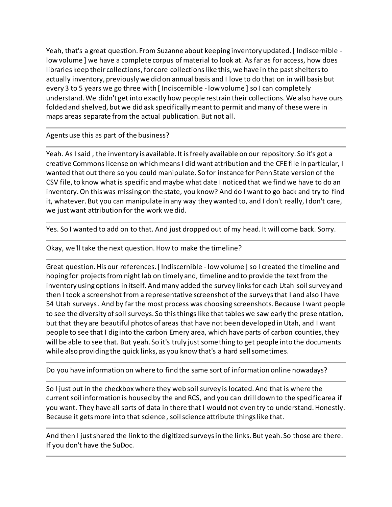Yeah, that's a great question. From Suzanne about keeping inventory updated. [ Indiscernible low volume ] we have a complete corpus of material to look at. As far as for access, how does libraries keep their collections, for core collections like this, we have in the past shelters to actually inventory, previously we did on annual basis and I love to do that on in will basis but every 3 to 5 years we go three with [ Indiscernible - low volume ] so I can completely understand. We didn't get into exactly how people restrain their collections. We also have ours folded and shelved, but we did ask specifically meant to permit and many of these were in maps areas separate from the actual publication. But not all.

Agents use this as part of the business?

Yeah. As I said , the inventory is available. It is freely available on our repository. So it's got a creative Commons license on which means I did want attribution and the CFE file in particular, I wanted that out there so you could manipulate. So for instance for Penn State version of the CSV file, to know what is specific and maybe what date I noticed that we find we have to do an inventory. On this was missing on the state, you know? And do I want to go back and try to find it, whatever. But you can manipulate in any way they wanted to, and I don't really, I don't care, we just want attribution for the work we did.

Yes. So I wanted to add on to that. And just dropped out of my head. It will come back. Sorry.

Okay, we'll take the next question. How to make the timeline?

Great question. His our references. [ Indiscernible - low volume ] so I created the timeline and hoping for projects from night lab on timely and, timeline and to provide the text from the inventory using options in itself. And many added the survey links for each Utah soil survey and then I took a screenshot from a representative screenshot of the surveys that I and also I have 54 Utah surveys . And by far the most process was choosing screenshots. Because I want people to see the diversity of soil surveys. So this things like that tables we saw early the prese ntation, but that they are beautiful photos of areas that have not been developed in Utah, and I want people to see that I dig into the carbon Emery area, which have parts of carbon counties, they will be able to see that. But yeah. So it's truly just something to get people into the documents while also providing the quick links, as you know that's a hard sell sometimes.

Do you have information on where to find the same sort of information online nowadays?

So I just put in the checkbox where they web soil survey is located. And that is where the current soil information is housed by the and RCS, and you can drill down to the specific area if you want. They have all sorts of data in there that I would not even try to understand. Honestly. Because it gets more into that science , soil science attribute things like that.

And then I just shared the link to the digitized surveys in the links. But yeah. So those are there. If you don't have the SuDoc.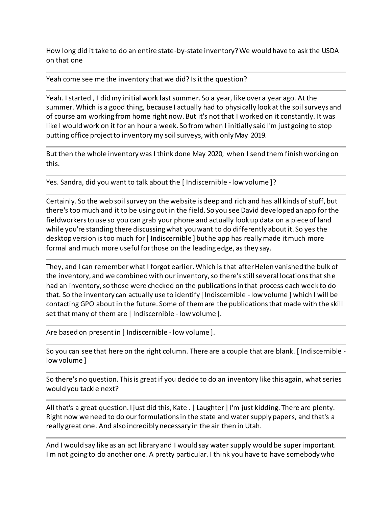How long did it take to do an entire state-by-state inventory? We would have to ask the USDA on that one

Yeah come see me the inventory that we did? Is it the question?

Yeah. I started , I did my initial work last summer. So a year, like over a year ago. At the summer. Which is a good thing, because I actually had to physically look at the soil surveys and of course am working from home right now. But it's not that I worked on it constantly. It was like I would work on it for an hour a week. So from when I initially said I'm just going to stop putting office project to inventory my soil surveys, with only May 2019.

But then the whole inventory was I think done May 2020, when I send them finish working on this.

Yes. Sandra, did you want to talk about the [ Indiscernible - low volume ]?

Certainly. So the web soil survey on the website is deep and rich and has all kinds of stuff, but there's too much and it to be using out in the field. So you see David developed an app for the fieldworkers to use so you can grab your phone and actually look up data on a piece of land while you're standing there discussing what you want to do differently about it. So yes the desktop version is too much for [ Indiscernible ] but he app has really made it much more formal and much more useful for those on the leading edge, as they say.

They, and I can remember what I forgot earlier. Which is that after Helen vanished the bulk of the inventory, and we combined with our inventory, so there's still several locations that she had an inventory, so those were checked on the publications in that process each week to do that. So the inventory can actually use to identify [ Indiscernible - low volume ] which I will be contacting GPO about in the future. Some of them are the publications that made with the skill set that many of them are [ Indiscernible - low volume ].

Are based on present in [ Indiscernible - low volume ].

So you can see that here on the right column. There are a couple that are blank. [ Indiscernible low volume ]

So there's no question. This is great if you decide to do an inventory like this again, what series would you tackle next?

All that's a great question. I just did this, Kate . [ Laughter ] I'm just kidding. There are plenty. Right now we need to do our formulations in the state and water supply papers, and that's a really great one. And also incredibly necessary in the air then in Utah.

And I would say like as an act library and I would say water supply would be super important. I'm not going to do another one. A pretty particular. I think you have to have somebody who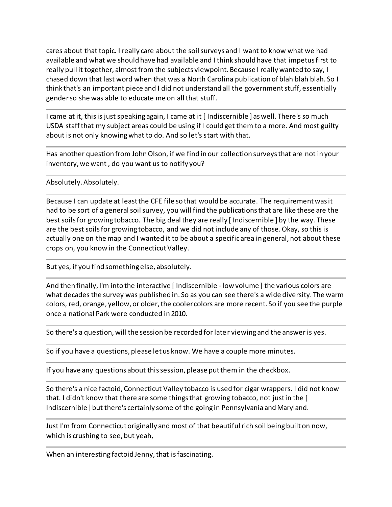cares about that topic. I really care about the soil surveys and I want to know what we had available and what we should have had available and I think should have that impetus first to really pull it together, almost from the subjects viewpoint. Because I really wanted to say, I chased down that last word when that was a North Carolina publication of blah blah blah. So I think that's an important piece and I did not understand all the government stuff, essentially gender so she was able to educate me on all that stuff.

I came at it, this is just speaking again, I came at it [ Indiscernible ] as well. There's so much USDA staff that my subject areas could be using if I could get them to a more. And most guilty about is not only knowing what to do. And so let's start with that.

Has another question from John Olson, if we find in our collection surveys that are not in your inventory, we want , do you want us to notify you?

Absolutely. Absolutely.

Because I can update at least the CFE file so that would be accurate. The requirement was it had to be sort of a general soil survey, you will find the publications that are like these are the best soils for growing tobacco. The big deal they are really [ Indiscernible ] by the way. These are the best soils for growing tobacco, and we did not include any of those. Okay, so this is actually one on the map and I wanted it to be about a specific area in general, not about these crops on, you know in the Connecticut Valley.

But yes, if you find something else, absolutely.

And then finally, I'm into the interactive [ Indiscernible - low volume ] the various colors are what decades the survey was published in. So as you can see there's a wide diversity. The warm colors, red, orange, yellow, or older, the cooler colors are more recent. So if you see the purple once a national Park were conducted in 2010.

So there's a question, will the session be recorded for later viewing and the answer is yes.

So if you have a questions, please let us know. We have a couple more minutes.

If you have any questions about this session, please put them in the checkbox.

So there's a nice factoid, Connecticut Valley tobacco is used for cigar wrappers. I did not know that. I didn't know that there are some things that growing tobacco, not just in the [ Indiscernible ] but there's certainly some of the going in Pennsylvania and Maryland.

Just I'm from Connecticut originally and most of that beautiful rich soil being built on now, which is crushing to see, but yeah,

When an interesting factoid Jenny, that is fascinating.